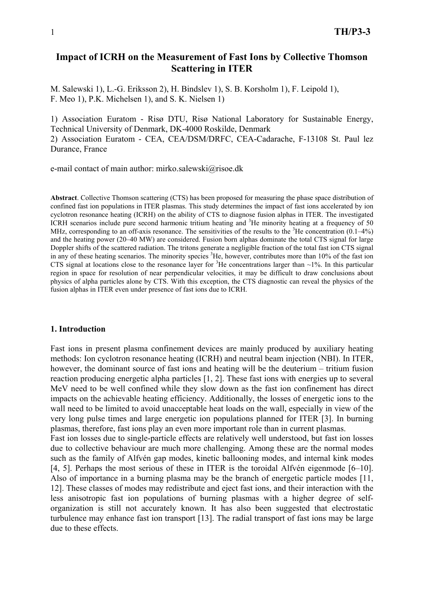# **Impact of ICRH on the Measurement of Fast Ions by Collective Thomson Scattering in ITER**

M. Salewski 1), L.-G. Eriksson 2), H. Bindslev 1), S. B. Korsholm 1), F. Leipold 1), F. Meo 1), P.K. Michelsen 1), and S. K. Nielsen 1)

1) Association Euratom - Risø DTU, Risø National Laboratory for Sustainable Energy, Technical University of Denmark, DK-4000 Roskilde, Denmark 2) Association Euratom - CEA, CEA/DSM/DRFC, CEA-Cadarache, F-13108 St. Paul lez Durance, France

e-mail contact of main author: mirko.salewski@risoe.dk

**Abstract**. Collective Thomson scattering (CTS) has been proposed for measuring the phase space distribution of confined fast ion populations in ITER plasmas. This study determines the impact of fast ions accelerated by ion cyclotron resonance heating (ICRH) on the ability of CTS to diagnose fusion alphas in ITER. The investigated ICRH scenarios include pure second harmonic tritium heating and <sup>3</sup>He minority heating at a frequency of 50 MHz, corresponding to an off-axis resonance. The sensitivities of the results to the  ${}^{3}$ He concentration (0.1–4%) and the heating power (20–40 MW) are considered. Fusion born alphas dominate the total CTS signal for large Doppler shifts of the scattered radiation. The tritons generate a negligible fraction of the total fast ion CTS signal in any of these heating scenarios. The minority species <sup>3</sup>He, however, contributes more than 10% of the fast ion CTS signal at locations close to the resonance layer for  ${}^{3}$ He concentrations larger than ~1%. In this particular region in space for resolution of near perpendicular velocities, it may be difficult to draw conclusions about physics of alpha particles alone by CTS. With this exception, the CTS diagnostic can reveal the physics of the fusion alphas in ITER even under presence of fast ions due to ICRH.

#### **1. Introduction**

Fast ions in present plasma confinement devices are mainly produced by auxiliary heating methods: Ion cyclotron resonance heating (ICRH) and neutral beam injection (NBI). In ITER, however, the dominant source of fast ions and heating will be the deuterium – tritium fusion reaction producing energetic alpha particles [1, 2]. These fast ions with energies up to several MeV need to be well confined while they slow down as the fast ion confinement has direct impacts on the achievable heating efficiency. Additionally, the losses of energetic ions to the wall need to be limited to avoid unacceptable heat loads on the wall, especially in view of the very long pulse times and large energetic ion populations planned for ITER [3]. In burning plasmas, therefore, fast ions play an even more important role than in current plasmas. Fast ion losses due to single-particle effects are relatively well understood, but fast ion losses due to collective behaviour are much more challenging. Among these are the normal modes such as the family of Alfvén gap modes, kinetic ballooning modes, and internal kink modes [4, 5]. Perhaps the most serious of these in ITER is the toroidal Alfvén eigenmode [6–10]. Also of importance in a burning plasma may be the branch of energetic particle modes [11, 12]. These classes of modes may redistribute and eject fast ions, and their interaction with the less anisotropic fast ion populations of burning plasmas with a higher degree of selforganization is still not accurately known. It has also been suggested that electrostatic turbulence may enhance fast ion transport [13]. The radial transport of fast ions may be large due to these effects.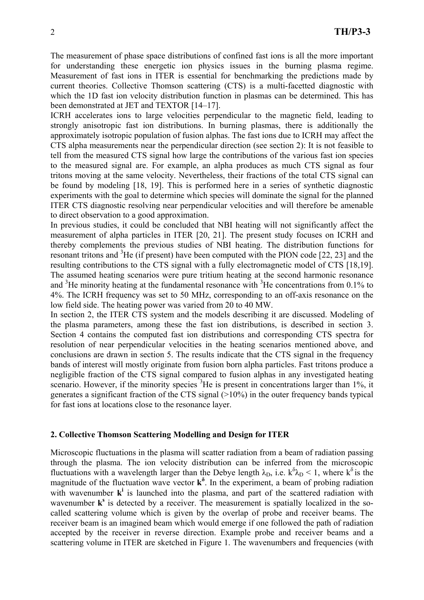The measurement of phase space distributions of confined fast ions is all the more important for understanding these energetic ion physics issues in the burning plasma regime. Measurement of fast ions in ITER is essential for benchmarking the predictions made by current theories. Collective Thomson scattering (CTS) is a multi-facetted diagnostic with which the 1D fast ion velocity distribution function in plasmas can be determined. This has been demonstrated at JET and TEXTOR [14–17].

ICRH accelerates ions to large velocities perpendicular to the magnetic field, leading to strongly anisotropic fast ion distributions. In burning plasmas, there is additionally the approximately isotropic population of fusion alphas. The fast ions due to ICRH may affect the CTS alpha measurements near the perpendicular direction (see section 2): It is not feasible to tell from the measured CTS signal how large the contributions of the various fast ion species to the measured signal are. For example, an alpha produces as much CTS signal as four tritons moving at the same velocity. Nevertheless, their fractions of the total CTS signal can be found by modeling [18, 19]. This is performed here in a series of synthetic diagnostic experiments with the goal to determine which species will dominate the signal for the planned ITER CTS diagnostic resolving near perpendicular velocities and will therefore be amenable to direct observation to a good approximation.

In previous studies, it could be concluded that NBI heating will not significantly affect the measurement of alpha particles in ITER [20, 21]. The present study focuses on ICRH and thereby complements the previous studies of NBI heating. The distribution functions for resonant tritons and  ${}^{3}$ He (if present) have been computed with the PION code [22, 23] and the resulting contributions to the CTS signal with a fully electromagnetic model of CTS [18,19]. The assumed heating scenarios were pure tritium heating at the second harmonic resonance and  ${}^{3}$ He minority heating at the fundamental resonance with  ${}^{3}$ He concentrations from 0.1% to 4%. The ICRH frequency was set to 50 MHz, corresponding to an off-axis resonance on the low field side. The heating power was varied from 20 to 40 MW.

In section 2, the ITER CTS system and the models describing it are discussed. Modeling of the plasma parameters, among these the fast ion distributions, is described in section 3. Section 4 contains the computed fast ion distributions and corresponding CTS spectra for resolution of near perpendicular velocities in the heating scenarios mentioned above, and conclusions are drawn in section 5. The results indicate that the CTS signal in the frequency bands of interest will mostly originate from fusion born alpha particles. Fast tritons produce a negligible fraction of the CTS signal compared to fusion alphas in any investigated heating scenario. However, if the minority species <sup>3</sup>He is present in concentrations larger than 1%, it generates a significant fraction of the CTS signal  $(>10\%)$  in the outer frequency bands typical for fast ions at locations close to the resonance layer.

## **2. Collective Thomson Scattering Modelling and Design for ITER**

Microscopic fluctuations in the plasma will scatter radiation from a beam of radiation passing through the plasma. The ion velocity distribution can be inferred from the microscopic fluctuations with a wavelength larger than the Debye length  $\lambda_D$ , i.e.  $k^{\delta} \lambda_D < 1$ , where  $k^{\delta}$  is the magnitude of the fluctuation wave vector  $k^{\delta}$ . In the experiment, a beam of probing radiation with wavenumber  $\mathbf{k}^i$  is launched into the plasma, and part of the scattered radiation with wavenumber  $\mathbf{k}^s$  is detected by a receiver. The measurement is spatially localized in the socalled scattering volume which is given by the overlap of probe and receiver beams. The receiver beam is an imagined beam which would emerge if one followed the path of radiation accepted by the receiver in reverse direction. Example probe and receiver beams and a scattering volume in ITER are sketched in Figure 1. The wavenumbers and frequencies (with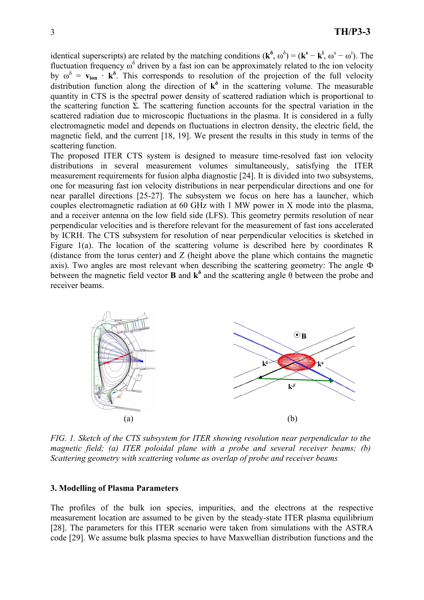identical superscripts) are related by the matching conditions  $(\mathbf{k}^{\delta}, \omega^{\delta}) = (\mathbf{k}^{\mathbf{s}} - \mathbf{k}^{\mathbf{i}}, \omega^{\mathbf{s}} - \omega^{\mathbf{i}})$ . The fluctuation frequency  $\omega^{\delta}$  driven by a fast ion can be approximately related to the ion velocity by  $\omega^{\delta} = v_{\text{ion}} \cdot \mathbf{k}^{\delta}$ . This corresponds to resolution of the projection of the full velocity distribution function along the direction of  $k^{\delta}$  in the scattering volume. The measurable quantity in CTS is the spectral power density of scattered radiation which is proportional to the scattering function  $\Sigma$ . The scattering function accounts for the spectral variation in the scattered radiation due to microscopic fluctuations in the plasma. It is considered in a fully electromagnetic model and depends on fluctuations in electron density, the electric field, the magnetic field, and the current [18, 19]. We present the results in this study in terms of the scattering function.

The proposed ITER CTS system is designed to measure time-resolved fast ion velocity distributions in several measurement volumes simultaneously, satisfying the ITER measurement requirements for fusion alpha diagnostic [24]. It is divided into two subsystems, one for measuring fast ion velocity distributions in near perpendicular directions and one for near parallel directions [25-27]. The subsystem we focus on here has a launcher, which couples electromagnetic radiation at 60 GHz with 1 MW power in X mode into the plasma, and a receiver antenna on the low field side (LFS). This geometry permits resolution of near perpendicular velocities and is therefore relevant for the measurement of fast ions accelerated by ICRH. The CTS subsystem for resolution of near perpendicular velocities is sketched in Figure 1(a). The location of the scattering volume is described here by coordinates R (distance from the torus center) and Z (height above the plane which contains the magnetic axis). Two angles are most relevant when describing the scattering geometry: The angle Ф between the magnetic field vector **B** and  $\mathbf{k}^{\delta}$  and the scattering angle  $\theta$  between the probe and receiver beams.



*FIG. 1. Sketch of the CTS subsystem for ITER showing resolution near perpendicular to the magnetic field; (a) ITER poloidal plane with a probe and several receiver beams; (b) Scattering geometry with scattering volume as overlap of probe and receiver beams* 

### **3. Modelling of Plasma Parameters**

The profiles of the bulk ion species, impurities, and the electrons at the respective measurement location are assumed to be given by the steady-state ITER plasma equilibrium [28]. The parameters for this ITER scenario were taken from simulations with the ASTRA code [29]. We assume bulk plasma species to have Maxwellian distribution functions and the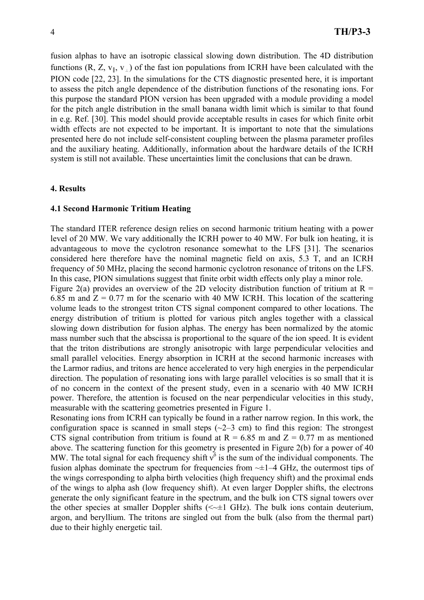fusion alphas to have an isotropic classical slowing down distribution. The 4D distribution functions (R, Z,  $v_{\parallel}$ ,  $v_{\perp}$ ) of the fast ion populations from ICRH have been calculated with the PION code [22, 23]. In the simulations for the CTS diagnostic presented here, it is important to assess the pitch angle dependence of the distribution functions of the resonating ions. For this purpose the standard PION version has been upgraded with a module providing a model for the pitch angle distribution in the small banana width limit which is similar to that found in e.g. Ref. [30]. This model should provide acceptable results in cases for which finite orbit width effects are not expected to be important. It is important to note that the simulations presented here do not include self-consistent coupling between the plasma parameter profiles and the auxiliary heating. Additionally, information about the hardware details of the ICRH system is still not available. These uncertainties limit the conclusions that can be drawn.

### **4. Results**

## **4.1 Second Harmonic Tritium Heating**

The standard ITER reference design relies on second harmonic tritium heating with a power level of 20 MW. We vary additionally the ICRH power to 40 MW. For bulk ion heating, it is advantageous to move the cyclotron resonance somewhat to the LFS [31]. The scenarios considered here therefore have the nominal magnetic field on axis, 5.3 T, and an ICRH frequency of 50 MHz, placing the second harmonic cyclotron resonance of tritons on the LFS. In this case, PION simulations suggest that finite orbit width effects only play a minor role.

Figure 2(a) provides an overview of the 2D velocity distribution function of tritium at  $R =$ 6.85 m and  $Z = 0.77$  m for the scenario with 40 MW ICRH. This location of the scattering volume leads to the strongest triton CTS signal component compared to other locations. The energy distribution of tritium is plotted for various pitch angles together with a classical slowing down distribution for fusion alphas. The energy has been normalized by the atomic mass number such that the abscissa is proportional to the square of the ion speed. It is evident that the triton distributions are strongly anisotropic with large perpendicular velocities and small parallel velocities. Energy absorption in ICRH at the second harmonic increases with the Larmor radius, and tritons are hence accelerated to very high energies in the perpendicular direction. The population of resonating ions with large parallel velocities is so small that it is of no concern in the context of the present study, even in a scenario with 40 MW ICRH power. Therefore, the attention is focused on the near perpendicular velocities in this study, measurable with the scattering geometries presented in Figure 1.

Resonating ions from ICRH can typically be found in a rather narrow region. In this work, the configuration space is scanned in small steps  $(-2-3$  cm) to find this region: The strongest CTS signal contribution from tritium is found at  $R = 6.85$  m and  $Z = 0.77$  m as mentioned above. The scattering function for this geometry is presented in Figure 2(b) for a power of 40 MW. The total signal for each frequency shift  $v^{\delta}$  is the sum of the individual components. The fusion alphas dominate the spectrum for frequencies from  $-±1-4$  GHz, the outermost tips of the wings corresponding to alpha birth velocities (high frequency shift) and the proximal ends of the wings to alpha ash (low frequency shift). At even larger Doppler shifts, the electrons generate the only significant feature in the spectrum, and the bulk ion CTS signal towers over the other species at smaller Doppler shifts  $(\leq \pm 1 \text{ GHz})$ . The bulk ions contain deuterium, argon, and beryllium. The tritons are singled out from the bulk (also from the thermal part) due to their highly energetic tail.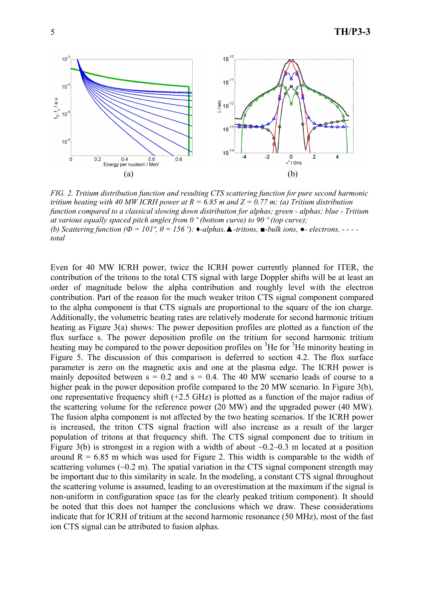

*FIG. 2. Tritium distribution function and resulting CTS scattering function for pure second harmonic tritium heating with 40 MW ICRH power at R = 6.85 m and Z = 0.77 m; (a) Tritium distribution function compared to a classical slowing down distribution for alphas; green - alphas; blue - Tritium at various equally spaced pitch angles from 0 º (bottom curve) to 90 º (top curve); (b)* Scattering function ( $\Phi$  = 101<sup>°</sup>,  $\theta$  = 156<sup>°</sup>); ◆*-alphas*, **△***-tritons*, ■*-bulk ions*, ●*- electrons*, - - - *total*

Even for 40 MW ICRH power, twice the ICRH power currently planned for ITER, the contribution of the tritons to the total CTS signal with large Doppler shifts will be at least an order of magnitude below the alpha contribution and roughly level with the electron contribution. Part of the reason for the much weaker triton CTS signal component compared to the alpha component is that CTS signals are proportional to the square of the ion charge. Additionally, the volumetric heating rates are relatively moderate for second harmonic tritium heating as Figure 3(a) shows: The power deposition profiles are plotted as a function of the flux surface s. The power deposition profile on the tritium for second harmonic tritium heating may be compared to the power deposition profiles on  ${}^{3}$ He for  ${}^{3}$ He minority heating in Figure 5. The discussion of this comparison is deferred to section 4.2. The flux surface parameter is zero on the magnetic axis and one at the plasma edge. The ICRH power is mainly deposited between  $s = 0.2$  and  $s = 0.4$ . The 40 MW scenario leads of course to a higher peak in the power deposition profile compared to the 20 MW scenario. In Figure 3(b), one representative frequency shift (+2.5 GHz) is plotted as a function of the major radius of the scattering volume for the reference power (20 MW) and the upgraded power (40 MW). The fusion alpha component is not affected by the two heating scenarios. If the ICRH power is increased, the triton CTS signal fraction will also increase as a result of the larger population of tritons at that frequency shift. The CTS signal component due to tritium in Figure 3(b) is strongest in a region with a width of about  $\sim 0.2 - 0.3$  m located at a position around  $R = 6.85$  m which was used for Figure 2. This width is comparable to the width of scattering volumes  $(\sim 0.2 \text{ m})$ . The spatial variation in the CTS signal component strength may be important due to this similarity in scale. In the modeling, a constant CTS signal throughout the scattering volume is assumed, leading to an overestimation at the maximum if the signal is non-uniform in configuration space (as for the clearly peaked tritium component). It should be noted that this does not hamper the conclusions which we draw. These considerations indicate that for ICRH of tritium at the second harmonic resonance (50 MHz), most of the fast ion CTS signal can be attributed to fusion alphas.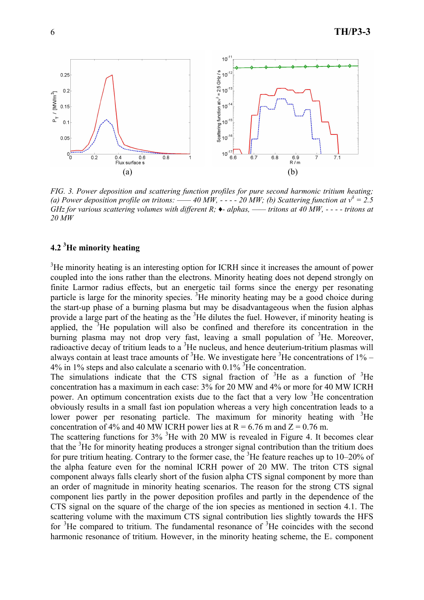

*FIG. 3. Power deposition and scattering function profiles for pure second harmonic tritium heating; (a) Power deposition profile on tritons:* —— 40 MW,  $\cdot \cdot \cdot \cdot$  = 20 MW; *(b) Scattering function at*  $v^{\delta} = 2.5$ *GHz for various scattering volumes with different R; ♦- alphas, —— tritons at 40 MW, - - - - tritons at 20 MW* 

# **4.2 3 He minority heating**

 $3$ He minority heating is an interesting option for ICRH since it increases the amount of power coupled into the ions rather than the electrons. Minority heating does not depend strongly on finite Larmor radius effects, but an energetic tail forms since the energy per resonating particle is large for the minority species.  ${}^{3}$ He minority heating may be a good choice during the start-up phase of a burning plasma but may be disadvantageous when the fusion alphas provide a large part of the heating as the <sup>3</sup>He dilutes the fuel. However, if minority heating is applied, the  $3$ He population will also be confined and therefore its concentration in the burning plasma may not drop very fast, leaving a small population of <sup>3</sup>He. Moreover, radioactive decay of tritium leads to a  ${}^{3}$ He nucleus, and hence deuterium-tritium plasmas will always contain at least trace amounts of  ${}^{3}$ He. We investigate here  ${}^{3}$ He concentrations of 1% –  $4\%$  in 1% steps and also calculate a scenario with 0.1% <sup>3</sup>He concentration.

The simulations indicate that the CTS signal fraction of  ${}^{3}$ He as a function of  ${}^{3}$ He concentration has a maximum in each case: 3% for 20 MW and 4% or more for 40 MW ICRH power. An optimum concentration exists due to the fact that a very low  $3$ He concentration obviously results in a small fast ion population whereas a very high concentration leads to a lower power per resonating particle. The maximum for minority heating with  ${}^{3}$ He concentration of 4% and 40 MW ICRH power lies at  $R = 6.76$  m and  $Z = 0.76$  m.

The scattering functions for  $3\%$  <sup>3</sup>He with 20 MW is revealed in Figure 4. It becomes clear that the <sup>3</sup>He for minority heating produces a stronger signal contribution than the tritium does for pure tritium heating. Contrary to the former case, the  ${}^{3}$ He feature reaches up to 10–20% of the alpha feature even for the nominal ICRH power of 20 MW. The triton CTS signal component always falls clearly short of the fusion alpha CTS signal component by more than an order of magnitude in minority heating scenarios. The reason for the strong CTS signal component lies partly in the power deposition profiles and partly in the dependence of the CTS signal on the square of the charge of the ion species as mentioned in section 4.1. The scattering volume with the maximum CTS signal contribution lies slightly towards the HFS for  ${}^{3}$ He compared to tritium. The fundamental resonance of  ${}^{3}$ He coincides with the second harmonic resonance of tritium. However, in the minority heating scheme, the  $E_{+}$  component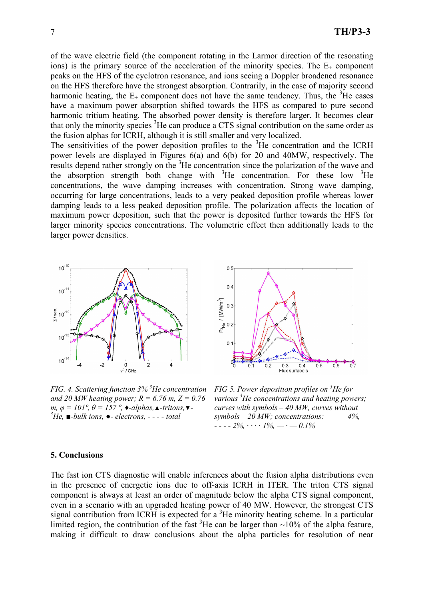of the wave electric field (the component rotating in the Larmor direction of the resonating ions) is the primary source of the acceleration of the minority species. The  $E_{+}$  component peaks on the HFS of the cyclotron resonance, and ions seeing a Doppler broadened resonance on the HFS therefore have the strongest absorption. Contrarily, in the case of majority second harmonic heating, the  $E_{+}$  component does not have the same tendency. Thus, the <sup>3</sup>He cases have a maximum power absorption shifted towards the HFS as compared to pure second harmonic tritium heating. The absorbed power density is therefore larger. It becomes clear that only the minority species <sup>3</sup>He can produce a CTS signal contribution on the same order as the fusion alphas for ICRH, although it is still smaller and very localized.

The sensitivities of the power deposition profiles to the  ${}^{3}$ He concentration and the ICRH power levels are displayed in Figures 6(a) and 6(b) for 20 and 40MW, respectively. The results depend rather strongly on the <sup>3</sup>He concentration since the polarization of the wave and the absorption strength both change with  ${}^{3}$ He concentration. For these low  ${}^{3}$ He concentrations, the wave damping increases with concentration. Strong wave damping, occurring for large concentrations, leads to a very peaked deposition profile whereas lower damping leads to a less peaked deposition profile. The polarization affects the location of maximum power deposition, such that the power is deposited further towards the HFS for larger minority species concentrations. The volumetric effect then additionally leads to the larger power densities.



*FIG. 4. Scattering function 3% 3 He concentration and 20 MW heating power; R = 6.76 m, Z = 0.76 m,*  $\varphi = 101^\circ$ ,  $\theta = 157^\circ$ ,  $\blacklozenge$ -alphas,  $\blacktriangle$ -tritons,  $\nabla$ -*He, ■-bulk ions, ●- electrons, - - - - total* 



*FIG 5. Power deposition profiles on <sup>3</sup> He for various <sup>3</sup> He concentrations and heating powers; curves with symbols – 40 MW, curves without symbols – 20 MW; concentrations: —— 4%, - - - - 2%, · · · · 1%, — · — 0.1%*

### **5. Conclusions**

The fast ion CTS diagnostic will enable inferences about the fusion alpha distributions even in the presence of energetic ions due to off-axis ICRH in ITER. The triton CTS signal component is always at least an order of magnitude below the alpha CTS signal component, even in a scenario with an upgraded heating power of 40 MW. However, the strongest CTS signal contribution from ICRH is expected for a  ${}^{3}$ He minority heating scheme. In a particular limited region, the contribution of the fast  ${}^{3}$ He can be larger than  $\sim$ 10% of the alpha feature, making it difficult to draw conclusions about the alpha particles for resolution of near